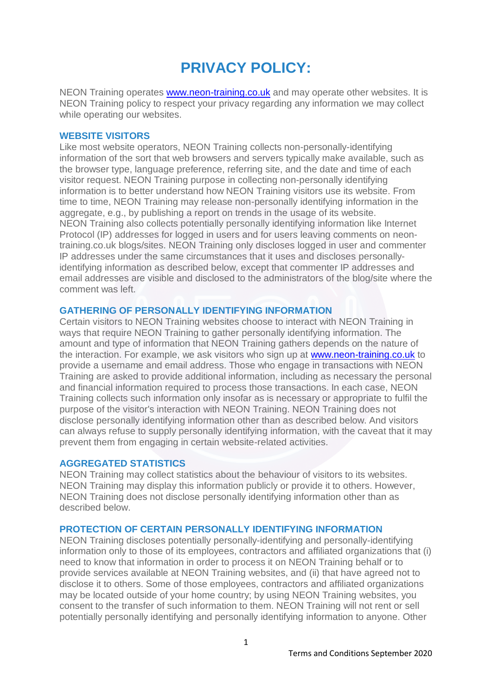# **PRIVACY POLICY:**

NEON Training operates [www.neon-training.co.uk](http://www.neon-training.co.uk/) and may operate other websites. It is NEON Training policy to respect your privacy regarding any information we may collect while operating our websites.

## **WEBSITE VISITORS**

Like most website operators, NEON Training collects non-personally-identifying information of the sort that web browsers and servers typically make available, such as the browser type, language preference, referring site, and the date and time of each visitor request. NEON Training purpose in collecting non-personally identifying information is to better understand how NEON Training visitors use its website. From time to time, NEON Training may release non-personally identifying information in the aggregate, e.g., by publishing a report on trends in the usage of its website. NEON Training also collects potentially personally identifying information like Internet Protocol (IP) addresses for logged in users and for users leaving comments on neontraining.co.uk blogs/sites. NEON Training only discloses logged in user and commenter IP addresses under the same circumstances that it uses and discloses personallyidentifying information as described below, except that commenter IP addresses and email addresses are visible and disclosed to the administrators of the blog/site where the comment was left.

## **GATHERING OF PERSONALLY IDENTIFYING INFORMATION**

Certain visitors to NEON Training websites choose to interact with NEON Training in ways that require NEON Training to gather personally identifying information. The amount and type of information that NEON Training gathers depends on the nature of the interaction. For example, we ask visitors who sign up at [www.neon-training.co.uk](http://www.neon-training.co.uk/) to provide a username and email address. Those who engage in transactions with NEON Training are asked to provide additional information, including as necessary the personal and financial information required to process those transactions. In each case, NEON Training collects such information only insofar as is necessary or appropriate to fulfil the purpose of the visitor's interaction with NEON Training. NEON Training does not disclose personally identifying information other than as described below. And visitors can always refuse to supply personally identifying information, with the caveat that it may prevent them from engaging in certain website-related activities.

# **AGGREGATED STATISTICS**

NEON Training may collect statistics about the behaviour of visitors to its websites. NEON Training may display this information publicly or provide it to others. However, NEON Training does not disclose personally identifying information other than as described below.

#### **PROTECTION OF CERTAIN PERSONALLY IDENTIFYING INFORMATION**

NEON Training discloses potentially personally-identifying and personally-identifying information only to those of its employees, contractors and affiliated organizations that (i) need to know that information in order to process it on NEON Training behalf or to provide services available at NEON Training websites, and (ii) that have agreed not to disclose it to others. Some of those employees, contractors and affiliated organizations may be located outside of your home country; by using NEON Training websites, you consent to the transfer of such information to them. NEON Training will not rent or sell potentially personally identifying and personally identifying information to anyone. Other